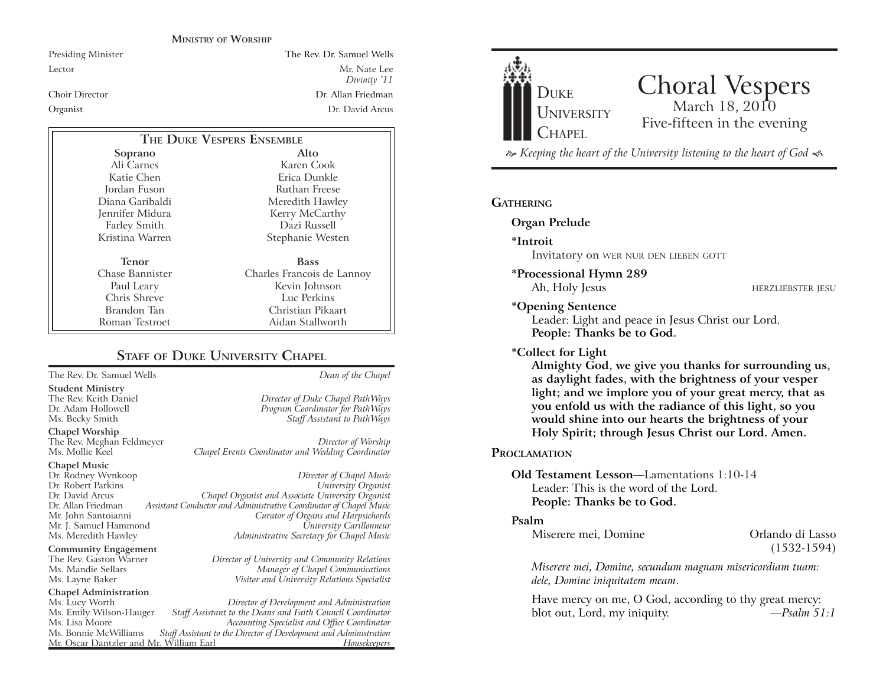#### **MINISTRY OF WORSHIP**

Presiding Minister The Rev. Dr. Samuel Wells

Lector Mr. Nate Lee *Divinity '11* Choir Director Dr. Allan FriedmanOrganist Dr. David Arcus

| THE DUKE VESPERS ENSEMBLE |                            |
|---------------------------|----------------------------|
| Soprano                   | Alto                       |
| Ali Carnes                | Karen Cook                 |
| Katie Chen                | Erica Dunkle               |
| Jordan Fuson              | Ruthan Freese              |
| Diana Garibaldi           | Meredith Hawley            |
| Jennifer Midura           | Kerry McCarthy             |
| <b>Farley Smith</b>       | Dazi Russell               |
| Kristina Warren           | Stephanie Westen           |
| Tenor                     | <b>Bass</b>                |
| Chase Bannister           | Charles Francois de Lannoy |
| Paul Leary                | Kevin Johnson              |
| Chris Shreve              | Luc Perkins                |
| Brandon Tan               | Christian Pikaart          |
| Roman Testroet            | Aidan Stallworth           |

#### **STAFF OF DUKE UNIVERSITY CHAPEL**

The Rev. Dr. Samuel Wells *Dean of the Chapel*

**Student Ministry**

**Chapel Worship**

The Rev. Meghan Feldmeyer *Director of Worship*

# **Chapel Music** Mr. J. Samuel Hammond

**Community Engagement**<br>The Rev. Gaston Warner

### **Chapel Administration**

Mr. Oscar Dantzler and Mr. William Earl

The Rev. Keith Daniel *Director of Duke Chapel PathWays* Dr. Adam Hollowell *Program Coordinator for PathWays* Staff Assistant to PathWays

Chapel Events Coordinator and Wedding Coordinator

Dr. Rodney Wynkoop *Director of Chapel Music* Dr. Robert Parkins *University Organist* Dr. David Arcus *Chapel Organist and Associate University Organist* Dr. Allan Friedman *Assistant Conductor and Administrative Coordinator of Chapel Music* Mr. John Santoianni *Curator of Organs and Harpsichords* Ms. Meredith Hawley *Administrative Secretary for Chapel Music*

The Rev. Gaston Warner *Director of University and Community Relations* Ms. Mandie Sellars *Manager of Chapel Communications* Ms. Layne Baker *Visitor and University Relations Specialist*

Ms. Lucy Worth *Director of Development and Administration* Ms. Emily Wilson-Hauger *Staff Assistant to the Deans and Faith Council Coordinator* Ms. Lisa Moore *Accounting Specialist and Office Coordinator* Staff Assistant to the Director of Development and Administration<br>*r*. William Earl *Housekeepers* 



## Choral Vespers<br>March 18, 2010 Five-fifteen in the evening

 *Keeping the heart of the University listening to the heart of God* 

#### **GATHERING**

**Organ Prelude**

- **\*Introit**  Invitatory on WER NUR DEN LIEBEN GOTT
- **\*Processional Hymn 289**
	-

Ah, Holy Jesus HERZLIEBSTER JESU

#### **\*Opening Sentence** Leader: Light and peace in Jesus Christ our Lord. **People: Thanks be to God. \*Collect for Light**

**Almighty God, we give you thanks for surrounding us, as daylight fades, with the brightness of your vesper light; and we implore you of your great mercy, that as you enfold us with the radiance of this light, so you would shine into our hearts the brightness of your Holy Spirit; through Jesus Christ our Lord. Amen.** 

#### **PROCLAMATION**

#### **Old Testament Lesson**—Lamentations 1:10-14Leader: This is the word of the Lord.**People: Thanks be to God.**

#### **Psalm**

Miserere mei, Domine **Orlando di Lasso** 

(1532-1594)

*Miserere mei, Domine, secundum magnam misericordiam tuam: dele, Domine iniquitatem meam*.

Have mercy on me, O God, according to thy great mercy: blot out, Lord, my iniquity. *—Psalm 51:1*